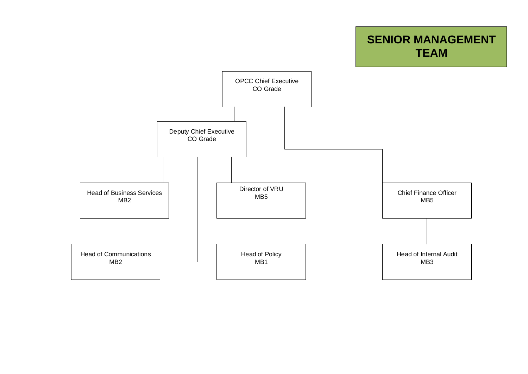## **SENIOR MANAGEMENT TEAM**

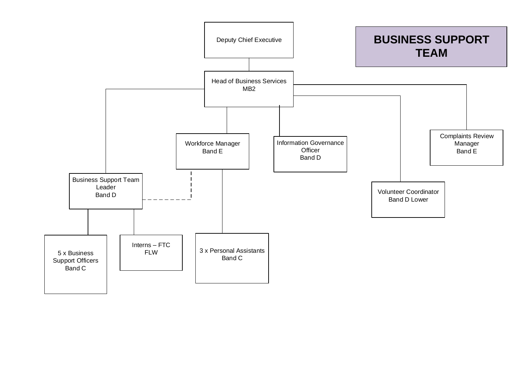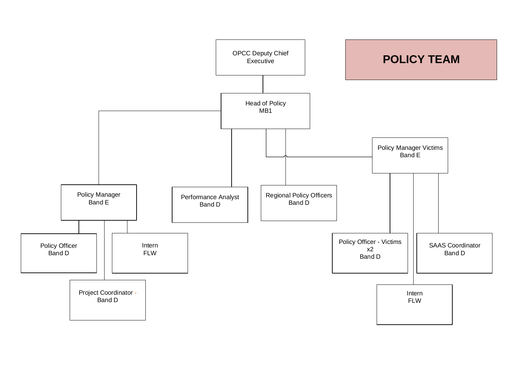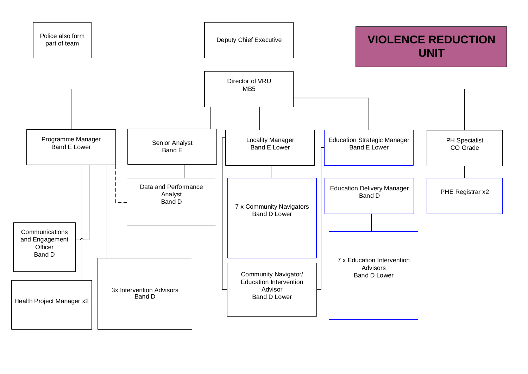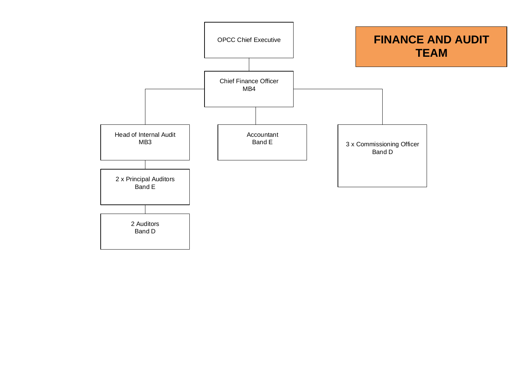